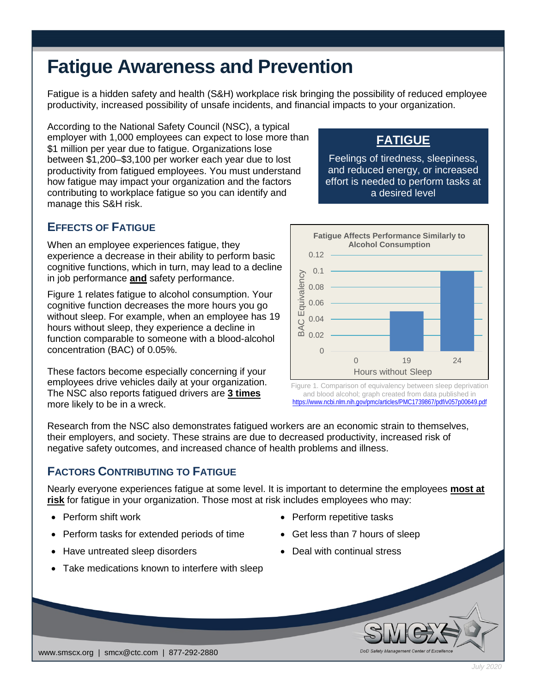# **Fatigue Awareness and Prevention**

Fatigue is a hidden safety and health (S&H) workplace risk bringing the possibility of reduced employee productivity, increased possibility of unsafe incidents, and financial impacts to your organization.

According to the National Safety Council (NSC), a typical employer with 1,000 employees can expect to lose more than \$1 million per year due to fatigue. Organizations lose between \$1,200–\$3,100 per worker each year due to lost productivity from fatigued employees. You must understand how fatigue may impact your organization and the factors contributing to workplace fatigue so you can identify and manage this S&H risk.

# **FATIGUE**

Feelings of tiredness, sleepiness, and reduced energy, or increased effort is needed to perform tasks at a desired level

## **EFFECTS OF FATIGUE**

When an employee experiences fatigue, they experience a decrease in their ability to perform basic cognitive functions, which in turn, may lead to a decline in job performance **and** safety performance.

Figure 1 relates fatigue to alcohol consumption. Your cognitive function decreases the more hours you go without sleep. For example, when an employee has 19 hours without sleep, they experience a decline in function comparable to someone with a blood-alcohol concentration (BAC) of 0.05%.

These factors become especially concerning if your employees drive vehicles daily at your organization. The NSC also reports fatigued drivers are **3 times** more likely to be in a wreck.



Figure 1. Comparison of equivalency between sleep deprivation and blood alcohol; graph created from data published in <https://www.ncbi.nlm.nih.gov/pmc/articles/PMC1739867/pdf/v057p00649.pdf>

Research from the NSC also demonstrates fatigued workers are an economic strain to themselves, their employers, and society. These strains are due to decreased productivity, increased risk of negative safety outcomes, and increased chance of health problems and illness.

#### **FACTORS CONTRIBUTING TO FATIGUE**

Nearly everyone experiences fatigue at some level. It is important to determine the employees **most at risk** for fatigue in your organization. Those most at risk includes employees who may:

- 
- Perform tasks for extended periods of time Get less than 7 hours of sleep
- Have untreated sleep disorders Deal with continual stress
- Take medications known to interfere with sleep
- Perform shift work  **Perform repetitive tasks** 
	-
	-